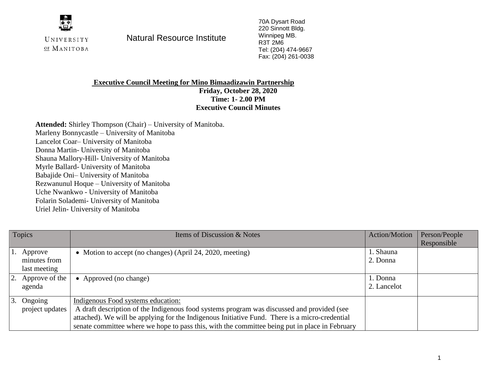

OF MANITOBA

UNIVERSITY **Natural Resource Institute** 

70A Dysart Road 220 Sinnott Bldg. Winnipeg MB. R3T 2M6 Tel: (204) 474-9667 Fax: (204) 261-0038

## **Executive Council Meeting for Mino Bimaadizawin Partnership Friday, October 28, 2020 Time: 1- 2.00 PM Executive Council Minutes**

**Attended:** Shirley Thompson (Chair) – University of Manitoba. Marleny Bonnycastle – University of Manitoba Lancelot Coar– University of Manitoba Donna Martin- University of Manitoba Shauna Mallory-Hill- University of Manitoba Myrle Ballard- University of Manitoba Babajide Oni– University of Manitoba Rezwanunul Hoque – University of Manitoba Uche Nwankwo - University of Manitoba Folarin Solademi- University of Manitoba Uriel Jelin- University of Manitoba

| Topics |                      | Items of Discussion & Notes                                                                    | <b>Action/Motion</b> | Person/People |
|--------|----------------------|------------------------------------------------------------------------------------------------|----------------------|---------------|
|        |                      |                                                                                                |                      | Responsible   |
|        | 1. Approve           | • Motion to accept (no changes) (April 24, 2020, meeting)                                      | l. Shauna            |               |
|        | minutes from         |                                                                                                | 2. Donna             |               |
|        | last meeting         |                                                                                                |                      |               |
|        | $ 2.$ Approve of the | • Approved (no change)                                                                         | 1. Donna             |               |
|        | agenda               |                                                                                                | 2. Lancelot          |               |
|        |                      |                                                                                                |                      |               |
|        | 3. Ongoing           | Indigenous Food systems education:                                                             |                      |               |
|        | project updates      | A draft description of the Indigenous food systems program was discussed and provided (see     |                      |               |
|        |                      | attached). We will be applying for the Indigenous Initiative Fund. There is a micro-credential |                      |               |
|        |                      | senate committee where we hope to pass this, with the committee being put in place in February |                      |               |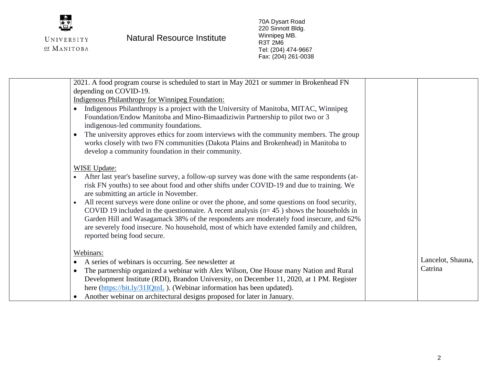

## UNIVERSITY **Natural Resource Institute**

70A Dysart Road 220 Sinnott Bldg. Winnipeg MB. R3T 2M6 Tel: (204) 474-9667 Fax: (204) 261-0038

| 2021. A food program course is scheduled to start in May 2021 or summer in Brokenhead FN                   |                   |
|------------------------------------------------------------------------------------------------------------|-------------------|
| depending on COVID-19.                                                                                     |                   |
| <b>Indigenous Philanthropy for Winnipeg Foundation:</b>                                                    |                   |
| Indigenous Philanthropy is a project with the University of Manitoba, MITAC, Winnipeg<br>$\bullet$         |                   |
| Foundation/Endow Manitoba and Mino-Bimaadiziwin Partnership to pilot two or 3                              |                   |
| indigenous-led community foundations.                                                                      |                   |
| The university approves ethics for zoom interviews with the community members. The group<br>$\bullet$      |                   |
| works closely with two FN communities (Dakota Plains and Brokenhead) in Manitoba to                        |                   |
| develop a community foundation in their community.                                                         |                   |
|                                                                                                            |                   |
| <b>WISE Update:</b>                                                                                        |                   |
| After last year's baseline survey, a follow-up survey was done with the same respondents (at-<br>$\bullet$ |                   |
| risk FN youths) to see about food and other shifts under COVID-19 and due to training. We                  |                   |
| are submitting an article in November.                                                                     |                   |
| All recent surveys were done online or over the phone, and some questions on food security,<br>$\bullet$   |                   |
| COVID 19 included in the questionnaire. A recent analysis $(n=45)$ shows the households in                 |                   |
| Garden Hill and Wasagamack 38% of the respondents are moderately food insecure, and 62%                    |                   |
| are severely food insecure. No household, most of which have extended family and children,                 |                   |
| reported being food secure.                                                                                |                   |
|                                                                                                            |                   |
| Webinars:                                                                                                  |                   |
| A series of webinars is occurring. See newsletter at<br>$\bullet$                                          | Lancelot, Shauna, |
| The partnership organized a webinar with Alex Wilson, One House many Nation and Rural<br>$\bullet$         | Catrina           |
| Development Institute (RDI), Brandon University, on December 11, 2020, at 1 PM. Register                   |                   |
|                                                                                                            |                   |
| here (https://bit.ly/31IQtnL). (Webinar information has been updated).                                     |                   |
| Another webinar on architectural designs proposed for later in January.                                    |                   |